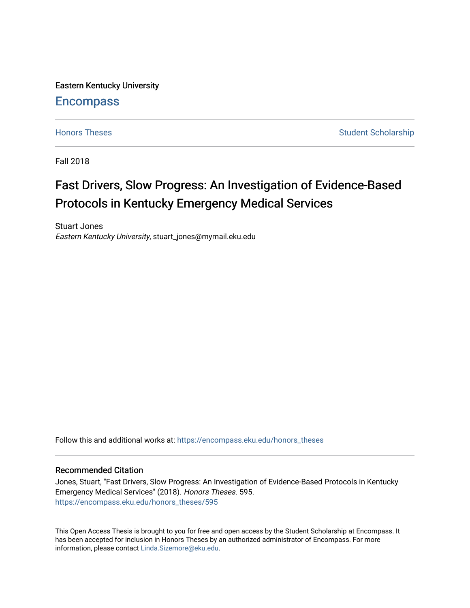Eastern Kentucky University

# **Encompass**

[Honors Theses](https://encompass.eku.edu/honors_theses) **Student Scholarship** Student Scholarship

Fall 2018

# Fast Drivers, Slow Progress: An Investigation of Evidence-Based Protocols in Kentucky Emergency Medical Services

Stuart Jones Eastern Kentucky University, stuart\_jones@mymail.eku.edu

Follow this and additional works at: [https://encompass.eku.edu/honors\\_theses](https://encompass.eku.edu/honors_theses?utm_source=encompass.eku.edu%2Fhonors_theses%2F595&utm_medium=PDF&utm_campaign=PDFCoverPages) 

# Recommended Citation

Jones, Stuart, "Fast Drivers, Slow Progress: An Investigation of Evidence-Based Protocols in Kentucky Emergency Medical Services" (2018). Honors Theses. 595. [https://encompass.eku.edu/honors\\_theses/595](https://encompass.eku.edu/honors_theses/595?utm_source=encompass.eku.edu%2Fhonors_theses%2F595&utm_medium=PDF&utm_campaign=PDFCoverPages) 

This Open Access Thesis is brought to you for free and open access by the Student Scholarship at Encompass. It has been accepted for inclusion in Honors Theses by an authorized administrator of Encompass. For more information, please contact [Linda.Sizemore@eku.edu.](mailto:Linda.Sizemore@eku.edu)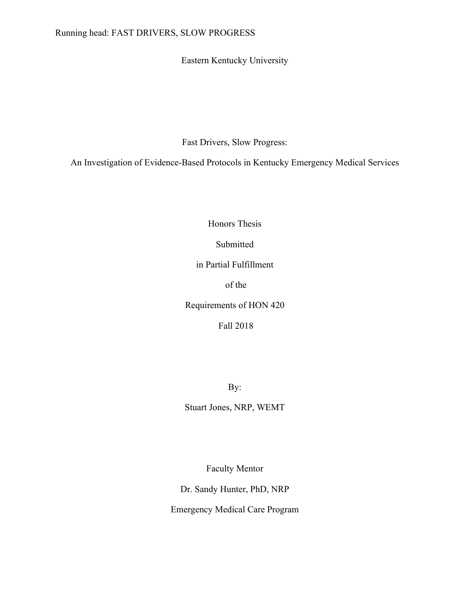Eastern Kentucky University

Fast Drivers, Slow Progress:

An Investigation of Evidence-Based Protocols in Kentucky Emergency Medical Services

Honors Thesis

Submitted

in Partial Fulfillment

of the

Requirements of HON 420

Fall 2018

By:

Stuart Jones, NRP, WEMT

Faculty Mentor

Dr. Sandy Hunter, PhD, NRP

Emergency Medical Care Program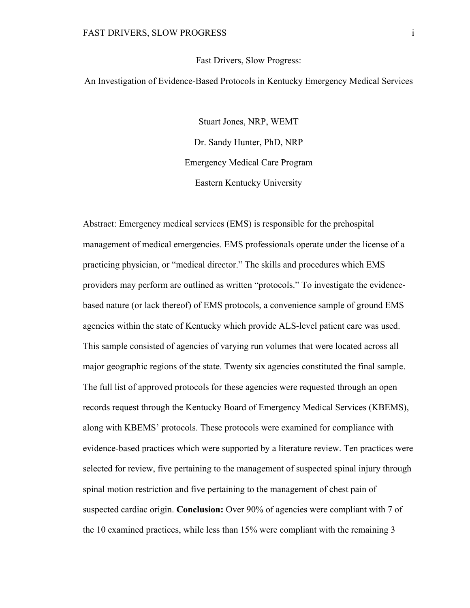#### Fast Drivers, Slow Progress:

An Investigation of Evidence-Based Protocols in Kentucky Emergency Medical Services

Stuart Jones, NRP, WEMT Dr. Sandy Hunter, PhD, NRP Emergency Medical Care Program Eastern Kentucky University

Abstract: Emergency medical services (EMS) is responsible for the prehospital management of medical emergencies. EMS professionals operate under the license of a practicing physician, or "medical director." The skills and procedures which EMS providers may perform are outlined as written "protocols." To investigate the evidencebased nature (or lack thereof) of EMS protocols, a convenience sample of ground EMS agencies within the state of Kentucky which provide ALS-level patient care was used. This sample consisted of agencies of varying run volumes that were located across all major geographic regions of the state. Twenty six agencies constituted the final sample. The full list of approved protocols for these agencies were requested through an open records request through the Kentucky Board of Emergency Medical Services (KBEMS), along with KBEMS' protocols. These protocols were examined for compliance with evidence-based practices which were supported by a literature review. Ten practices were selected for review, five pertaining to the management of suspected spinal injury through spinal motion restriction and five pertaining to the management of chest pain of suspected cardiac origin. **Conclusion:** Over 90% of agencies were compliant with 7 of the 10 examined practices, while less than 15% were compliant with the remaining 3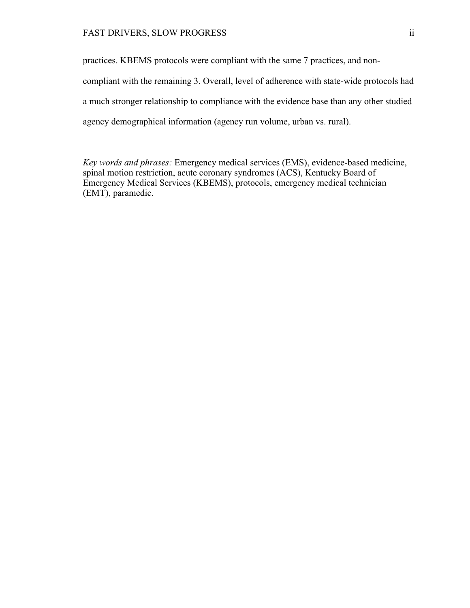practices. KBEMS protocols were compliant with the same 7 practices, and noncompliant with the remaining 3. Overall, level of adherence with state-wide protocols had a much stronger relationship to compliance with the evidence base than any other studied agency demographical information (agency run volume, urban vs. rural).

*Key words and phrases:* Emergency medical services (EMS), evidence-based medicine, spinal motion restriction, acute coronary syndromes (ACS), Kentucky Board of Emergency Medical Services (KBEMS), protocols, emergency medical technician (EMT), paramedic.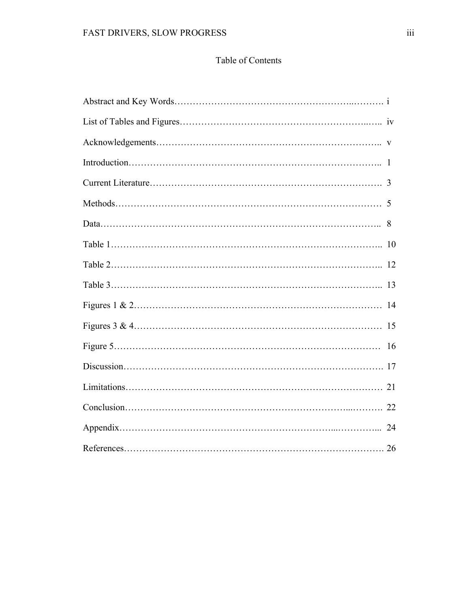# Table of Contents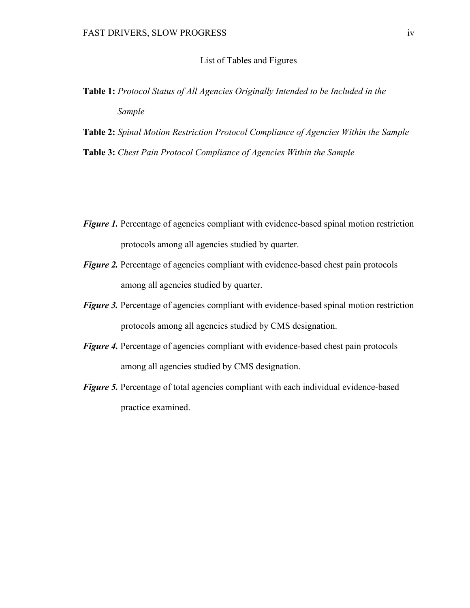#### List of Tables and Figures

- **Table 1:** *Protocol Status of All Agencies Originally Intended to be Included in the Sample*
- **Table 2:** *Spinal Motion Restriction Protocol Compliance of Agencies Within the Sample* **Table 3:** *Chest Pain Protocol Compliance of Agencies Within the Sample*

- *Figure 1*. Percentage of agencies compliant with evidence-based spinal motion restriction protocols among all agencies studied by quarter.
- *Figure 2.* Percentage of agencies compliant with evidence-based chest pain protocols among all agencies studied by quarter.
- *Figure 3.* Percentage of agencies compliant with evidence-based spinal motion restriction protocols among all agencies studied by CMS designation.
- *Figure 4.* Percentage of agencies compliant with evidence-based chest pain protocols among all agencies studied by CMS designation.
- *Figure 5.* Percentage of total agencies compliant with each individual evidence-based practice examined.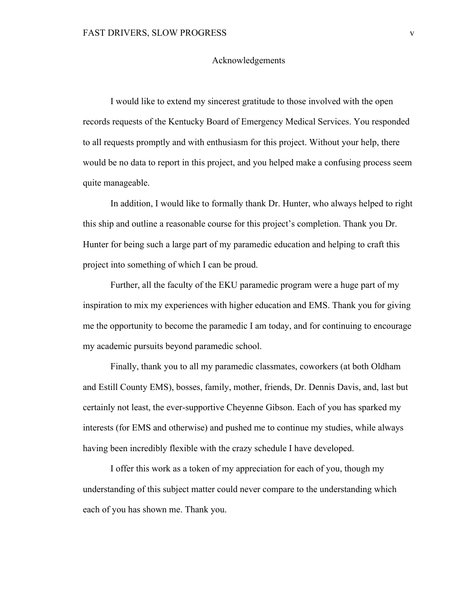#### Acknowledgements

I would like to extend my sincerest gratitude to those involved with the open records requests of the Kentucky Board of Emergency Medical Services. You responded to all requests promptly and with enthusiasm for this project. Without your help, there would be no data to report in this project, and you helped make a confusing process seem quite manageable.

In addition, I would like to formally thank Dr. Hunter, who always helped to right this ship and outline a reasonable course for this project's completion. Thank you Dr. Hunter for being such a large part of my paramedic education and helping to craft this project into something of which I can be proud.

Further, all the faculty of the EKU paramedic program were a huge part of my inspiration to mix my experiences with higher education and EMS. Thank you for giving me the opportunity to become the paramedic I am today, and for continuing to encourage my academic pursuits beyond paramedic school.

Finally, thank you to all my paramedic classmates, coworkers (at both Oldham and Estill County EMS), bosses, family, mother, friends, Dr. Dennis Davis, and, last but certainly not least, the ever-supportive Cheyenne Gibson. Each of you has sparked my interests (for EMS and otherwise) and pushed me to continue my studies, while always having been incredibly flexible with the crazy schedule I have developed.

I offer this work as a token of my appreciation for each of you, though my understanding of this subject matter could never compare to the understanding which each of you has shown me. Thank you.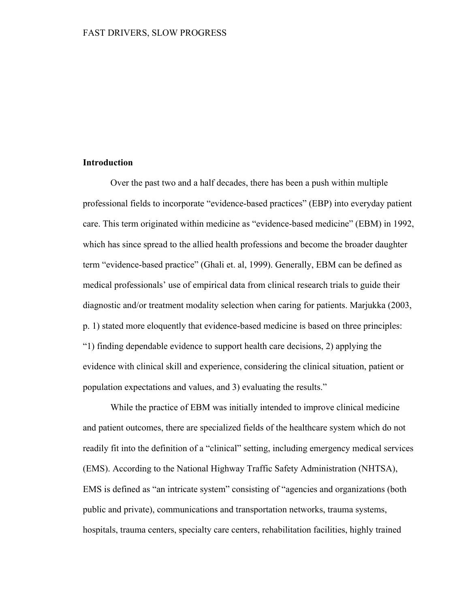# **Introduction**

Over the past two and a half decades, there has been a push within multiple professional fields to incorporate "evidence-based practices" (EBP) into everyday patient care. This term originated within medicine as "evidence-based medicine" (EBM) in 1992, which has since spread to the allied health professions and become the broader daughter term "evidence-based practice" (Ghali et. al, 1999). Generally, EBM can be defined as medical professionals' use of empirical data from clinical research trials to guide their diagnostic and/or treatment modality selection when caring for patients. Marjukka (2003, p. 1) stated more eloquently that evidence-based medicine is based on three principles: "1) finding dependable evidence to support health care decisions, 2) applying the evidence with clinical skill and experience, considering the clinical situation, patient or population expectations and values, and 3) evaluating the results."

While the practice of EBM was initially intended to improve clinical medicine and patient outcomes, there are specialized fields of the healthcare system which do not readily fit into the definition of a "clinical" setting, including emergency medical services (EMS). According to the National Highway Traffic Safety Administration (NHTSA), EMS is defined as "an intricate system" consisting of "agencies and organizations (both public and private), communications and transportation networks, trauma systems, hospitals, trauma centers, specialty care centers, rehabilitation facilities, highly trained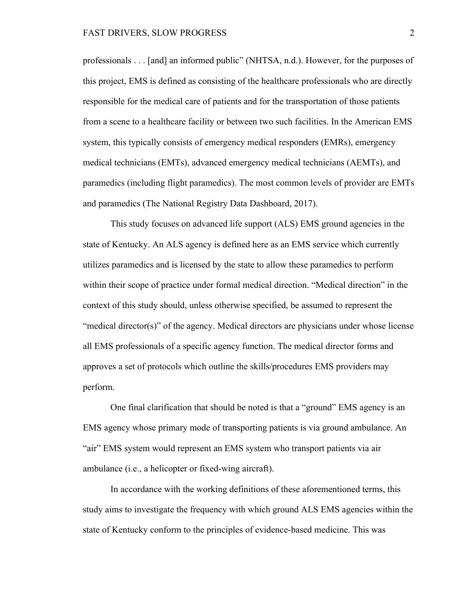professionals . . . [and] an informed public" (NHTSA, n.d.). However, for the purposes of this project, EMS is defined as consisting of the healthcare professionals who are directly responsible for the medical care of patients and for the transportation of those patients from a scene to a healthcare facility or between two such facilities. In the American EMS system, this typically consists of emergency medical responders (EMRs), emergency medical technicians (EMTs), advanced emergency medical technicians (AEMTs), and paramedics (including flight paramedics). The most common levels of provider are EMTs and paramedics (The National Registry Data Dashboard, 2017).

This study focuses on advanced life support (ALS) EMS ground agencies in the state of Kentucky. An ALS agency is defined here as an EMS service which currently utilizes paramedics and is licensed by the state to allow these paramedics to perform within their scope of practice under formal medical direction. "Medical direction" in the context of this study should, unless otherwise specified, be assumed to represent the "medical director(s)" of the agency. Medical directors are physicians under whose license all EMS professionals of a specific agency function. The medical director forms and approves a set of protocols which outline the skills/procedures EMS providers may perform.

One final clarification that should be noted is that a "ground" EMS agency is an EMS agency whose primary mode of transporting patients is via ground ambulance. An "air" EMS system would represent an EMS system who transport patients via air ambulance (i.e., a helicopter or fixed-wing aircraft).

In accordance with the working definitions of these aforementioned terms, this study aims to investigate the frequency with which ground ALS EMS agencies within the state of Kentucky conform to the principles of evidence-based medicine. This was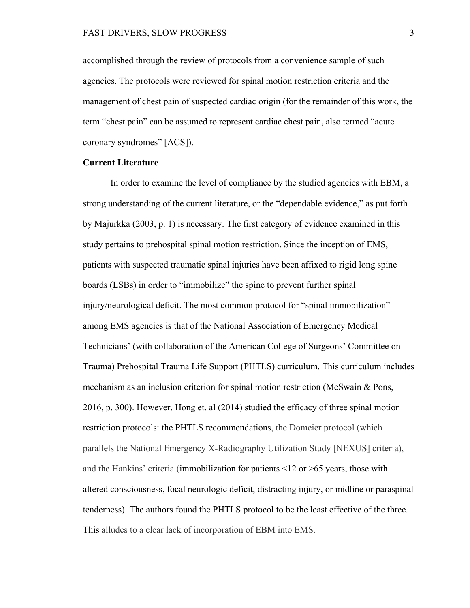accomplished through the review of protocols from a convenience sample of such agencies. The protocols were reviewed for spinal motion restriction criteria and the management of chest pain of suspected cardiac origin (for the remainder of this work, the term "chest pain" can be assumed to represent cardiac chest pain, also termed "acute coronary syndromes" [ACS]).

# **Current Literature**

In order to examine the level of compliance by the studied agencies with EBM, a strong understanding of the current literature, or the "dependable evidence," as put forth by Majurkka (2003, p. 1) is necessary. The first category of evidence examined in this study pertains to prehospital spinal motion restriction. Since the inception of EMS, patients with suspected traumatic spinal injuries have been affixed to rigid long spine boards (LSBs) in order to "immobilize" the spine to prevent further spinal injury/neurological deficit. The most common protocol for "spinal immobilization" among EMS agencies is that of the National Association of Emergency Medical Technicians' (with collaboration of the American College of Surgeons' Committee on Trauma) Prehospital Trauma Life Support (PHTLS) curriculum. This curriculum includes mechanism as an inclusion criterion for spinal motion restriction (McSwain & Pons, 2016, p. 300). However, Hong et. al (2014) studied the efficacy of three spinal motion restriction protocols: the PHTLS recommendations, the Domeier protocol (which parallels the National Emergency X-Radiography Utilization Study [NEXUS] criteria), and the Hankins' criteria (immobilization for patients <12 or >65 years, those with altered consciousness, focal neurologic deficit, distracting injury, or midline or paraspinal tenderness). The authors found the PHTLS protocol to be the least effective of the three. This alludes to a clear lack of incorporation of EBM into EMS.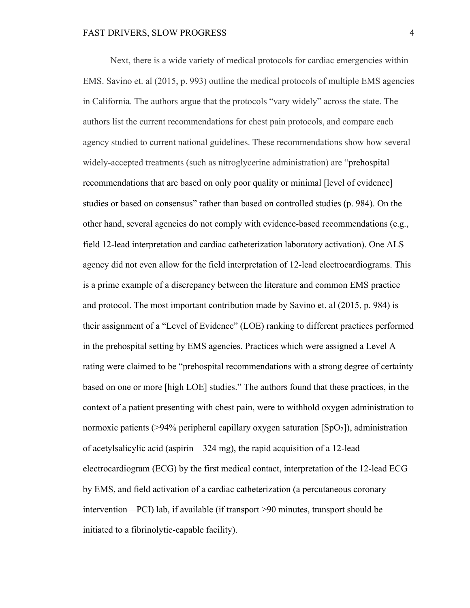Next, there is a wide variety of medical protocols for cardiac emergencies within EMS. Savino et. al (2015, p. 993) outline the medical protocols of multiple EMS agencies in California. The authors argue that the protocols "vary widely" across the state. The authors list the current recommendations for chest pain protocols, and compare each agency studied to current national guidelines. These recommendations show how several widely-accepted treatments (such as nitroglycerine administration) are "prehospital recommendations that are based on only poor quality or minimal [level of evidence] studies or based on consensus" rather than based on controlled studies (p. 984). On the other hand, several agencies do not comply with evidence-based recommendations (e.g., field 12-lead interpretation and cardiac catheterization laboratory activation). One ALS agency did not even allow for the field interpretation of 12-lead electrocardiograms. This is a prime example of a discrepancy between the literature and common EMS practice and protocol. The most important contribution made by Savino et. al (2015, p. 984) is their assignment of a "Level of Evidence" (LOE) ranking to different practices performed in the prehospital setting by EMS agencies. Practices which were assigned a Level A rating were claimed to be "prehospital recommendations with a strong degree of certainty based on one or more [high LOE] studies." The authors found that these practices, in the context of a patient presenting with chest pain, were to withhold oxygen administration to normoxic patients (>94% peripheral capillary oxygen saturation  $[SpO<sub>2</sub>])$ , administration of acetylsalicylic acid (aspirin—324 mg), the rapid acquisition of a 12-lead electrocardiogram (ECG) by the first medical contact, interpretation of the 12-lead ECG by EMS, and field activation of a cardiac catheterization (a percutaneous coronary intervention—PCI) lab, if available (if transport >90 minutes, transport should be initiated to a fibrinolytic-capable facility).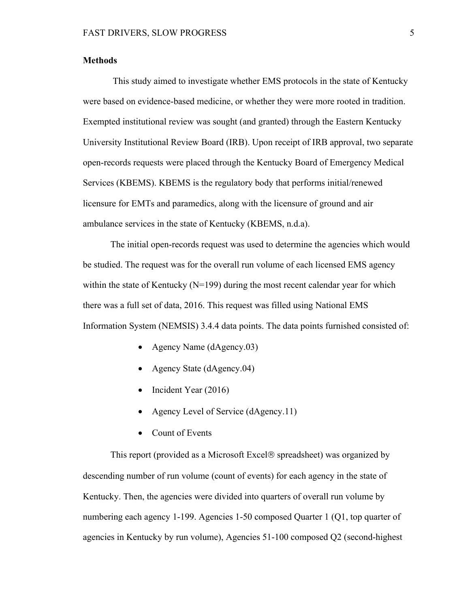# **Methods**

This study aimed to investigate whether EMS protocols in the state of Kentucky were based on evidence-based medicine, or whether they were more rooted in tradition. Exempted institutional review was sought (and granted) through the Eastern Kentucky University Institutional Review Board (IRB). Upon receipt of IRB approval, two separate open-records requests were placed through the Kentucky Board of Emergency Medical Services (KBEMS). KBEMS is the regulatory body that performs initial/renewed licensure for EMTs and paramedics, along with the licensure of ground and air ambulance services in the state of Kentucky (KBEMS, n.d.a).

The initial open-records request was used to determine the agencies which would be studied. The request was for the overall run volume of each licensed EMS agency within the state of Kentucky ( $N=199$ ) during the most recent calendar year for which there was a full set of data, 2016. This request was filled using National EMS Information System (NEMSIS) 3.4.4 data points. The data points furnished consisted of:

- Agency Name (dAgency.03)
- Agency State (dAgency.04)
- Incident Year (2016)
- Agency Level of Service (dAgency.11)
- Count of Events

This report (provided as a Microsoft Excel $\circledR$  spreadsheet) was organized by descending number of run volume (count of events) for each agency in the state of Kentucky. Then, the agencies were divided into quarters of overall run volume by numbering each agency 1-199. Agencies 1-50 composed Quarter 1 (Q1, top quarter of agencies in Kentucky by run volume), Agencies 51-100 composed Q2 (second-highest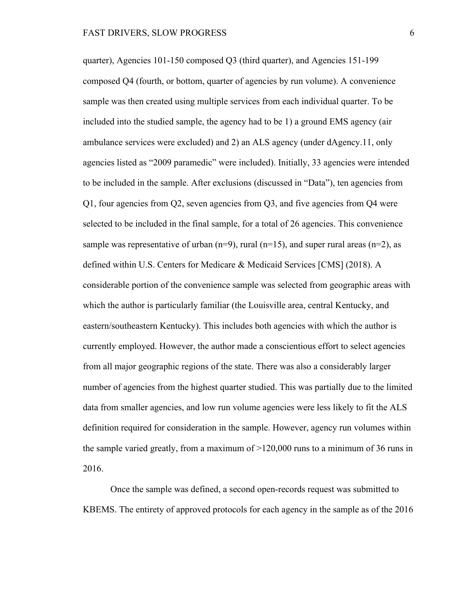quarter), Agencies 101-150 composed Q3 (third quarter), and Agencies 151-199 composed Q4 (fourth, or bottom, quarter of agencies by run volume). A convenience sample was then created using multiple services from each individual quarter. To be included into the studied sample, the agency had to be 1) a ground EMS agency (air ambulance services were excluded) and 2) an ALS agency (under dAgency.11, only agencies listed as "2009 paramedic" were included). Initially, 33 agencies were intended to be included in the sample. After exclusions (discussed in "Data"), ten agencies from Q1, four agencies from Q2, seven agencies from Q3, and five agencies from Q4 were selected to be included in the final sample, for a total of 26 agencies. This convenience sample was representative of urban ( $n=9$ ), rural ( $n=15$ ), and super rural areas ( $n=2$ ), as defined within U.S. Centers for Medicare & Medicaid Services [CMS] (2018). A considerable portion of the convenience sample was selected from geographic areas with which the author is particularly familiar (the Louisville area, central Kentucky, and eastern/southeastern Kentucky). This includes both agencies with which the author is currently employed. However, the author made a conscientious effort to select agencies from all major geographic regions of the state. There was also a considerably larger number of agencies from the highest quarter studied. This was partially due to the limited data from smaller agencies, and low run volume agencies were less likely to fit the ALS definition required for consideration in the sample. However, agency run volumes within the sample varied greatly, from a maximum of >120,000 runs to a minimum of 36 runs in 2016.

Once the sample was defined, a second open-records request was submitted to KBEMS. The entirety of approved protocols for each agency in the sample as of the 2016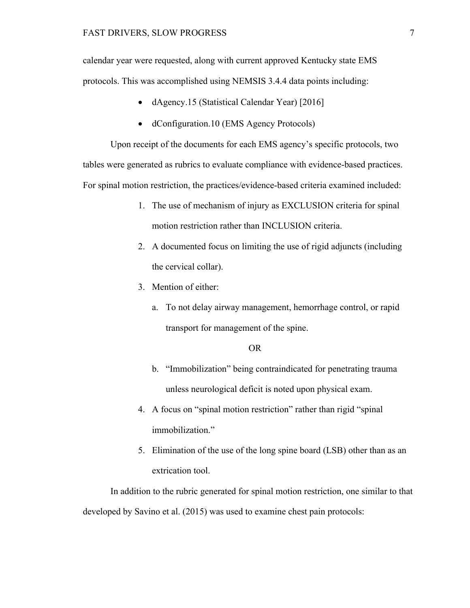calendar year were requested, along with current approved Kentucky state EMS protocols. This was accomplished using NEMSIS 3.4.4 data points including:

- dAgency.15 (Statistical Calendar Year) [2016]
- dConfiguration.10 (EMS Agency Protocols)

Upon receipt of the documents for each EMS agency's specific protocols, two tables were generated as rubrics to evaluate compliance with evidence-based practices. For spinal motion restriction, the practices/evidence-based criteria examined included:

- 1. The use of mechanism of injury as EXCLUSION criteria for spinal motion restriction rather than INCLUSION criteria.
- 2. A documented focus on limiting the use of rigid adjuncts (including the cervical collar).
- 3. Mention of either:
	- a. To not delay airway management, hemorrhage control, or rapid transport for management of the spine.

# OR

- b. "Immobilization" being contraindicated for penetrating trauma unless neurological deficit is noted upon physical exam.
- 4. A focus on "spinal motion restriction" rather than rigid "spinal immobilization."
- 5. Elimination of the use of the long spine board (LSB) other than as an extrication tool.

In addition to the rubric generated for spinal motion restriction, one similar to that developed by Savino et al. (2015) was used to examine chest pain protocols: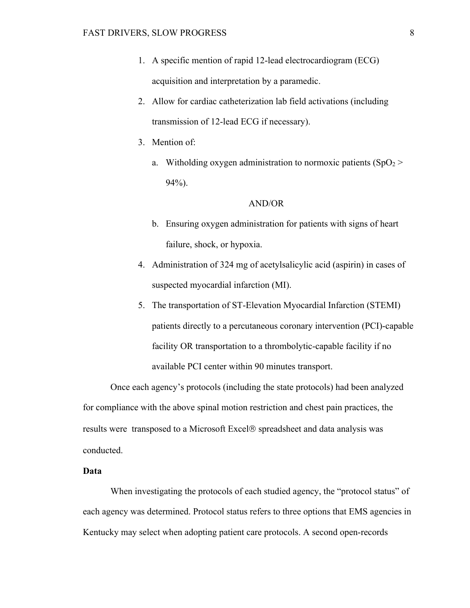- 1. A specific mention of rapid 12-lead electrocardiogram (ECG) acquisition and interpretation by a paramedic.
- 2. Allow for cardiac catheterization lab field activations (including transmission of 12-lead ECG if necessary).
- 3. Mention of:
	- a. Witholding oxygen administration to normoxic patients  $(SpO<sub>2</sub>)$ 94%).

# AND/OR

- b. Ensuring oxygen administration for patients with signs of heart failure, shock, or hypoxia.
- 4. Administration of 324 mg of acetylsalicylic acid (aspirin) in cases of suspected myocardial infarction (MI).
- 5. The transportation of ST-Elevation Myocardial Infarction (STEMI) patients directly to a percutaneous coronary intervention (PCI)-capable facility OR transportation to a thrombolytic-capable facility if no available PCI center within 90 minutes transport.

Once each agency's protocols (including the state protocols) had been analyzed for compliance with the above spinal motion restriction and chest pain practices, the results were transposed to a Microsoft Excel<sup>®</sup> spreadsheet and data analysis was conducted.

# **Data**

When investigating the protocols of each studied agency, the "protocol status" of each agency was determined. Protocol status refers to three options that EMS agencies in Kentucky may select when adopting patient care protocols. A second open-records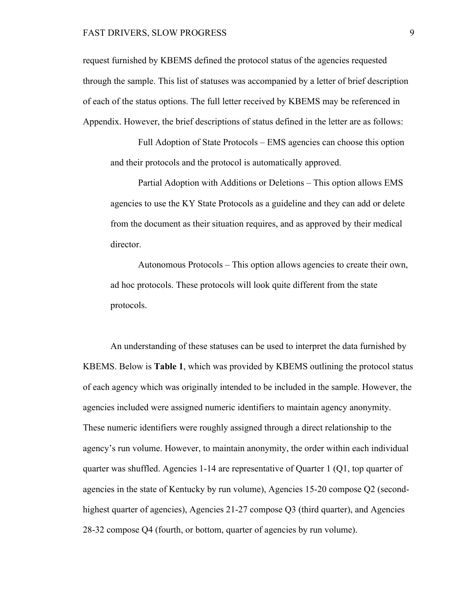request furnished by KBEMS defined the protocol status of the agencies requested through the sample. This list of statuses was accompanied by a letter of brief description of each of the status options. The full letter received by KBEMS may be referenced in Appendix. However, the brief descriptions of status defined in the letter are as follows:

Full Adoption of State Protocols – EMS agencies can choose this option and their protocols and the protocol is automatically approved.

Partial Adoption with Additions or Deletions – This option allows EMS agencies to use the KY State Protocols as a guideline and they can add or delete from the document as their situation requires, and as approved by their medical director.

Autonomous Protocols – This option allows agencies to create their own, ad hoc protocols. These protocols will look quite different from the state protocols.

An understanding of these statuses can be used to interpret the data furnished by KBEMS. Below is **Table 1**, which was provided by KBEMS outlining the protocol status of each agency which was originally intended to be included in the sample. However, the agencies included were assigned numeric identifiers to maintain agency anonymity. These numeric identifiers were roughly assigned through a direct relationship to the agency's run volume. However, to maintain anonymity, the order within each individual quarter was shuffled. Agencies 1-14 are representative of Quarter 1 (Q1, top quarter of agencies in the state of Kentucky by run volume), Agencies 15-20 compose Q2 (secondhighest quarter of agencies), Agencies 21-27 compose Q3 (third quarter), and Agencies 28-32 compose Q4 (fourth, or bottom, quarter of agencies by run volume).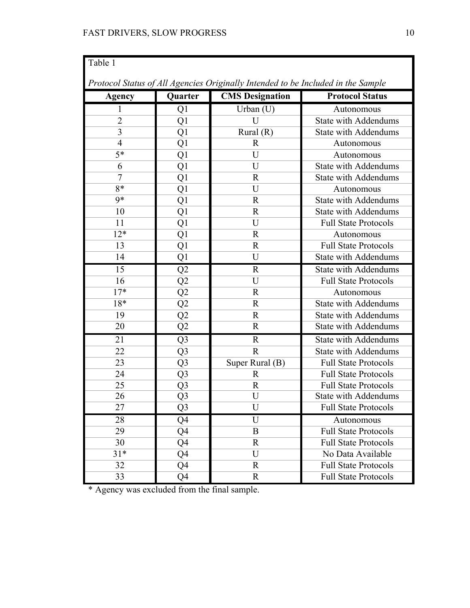| Table 1                                                                          |                |                           |                             |  |  |  |
|----------------------------------------------------------------------------------|----------------|---------------------------|-----------------------------|--|--|--|
| Protocol Status of All Agencies Originally Intended to be Included in the Sample |                |                           |                             |  |  |  |
| Agency                                                                           | Quarter        | <b>CMS</b> Designation    | <b>Protocol Status</b>      |  |  |  |
| 1                                                                                | Q1             | Urban $(U)$<br>Autonomous |                             |  |  |  |
| $\overline{2}$                                                                   | Q1             | $\overline{U}$            | <b>State with Addendums</b> |  |  |  |
| 3                                                                                | Q1             | Rural $(R)$               | <b>State with Addendums</b> |  |  |  |
| $\overline{4}$                                                                   | Q <sub>1</sub> | $\mathbf{R}$              | Autonomous                  |  |  |  |
| $5*$                                                                             | Q1             | U                         | Autonomous                  |  |  |  |
| 6                                                                                | Q <sub>1</sub> | U                         | <b>State with Addendums</b> |  |  |  |
| $\overline{7}$                                                                   | Q1             | $\mathbf R$               | <b>State with Addendums</b> |  |  |  |
| 8*                                                                               | Q1             | U                         | Autonomous                  |  |  |  |
| $9*$                                                                             | Q1             | $\mathbf{R}$              | <b>State with Addendums</b> |  |  |  |
| 10                                                                               | Q1             | R                         | <b>State with Addendums</b> |  |  |  |
| 11                                                                               | Q1             | U                         | <b>Full State Protocols</b> |  |  |  |
| $12*$                                                                            | Q1             | $\mathbb{R}$              | Autonomous                  |  |  |  |
| 13                                                                               | Q <sub>1</sub> | $\mathbb{R}$              | <b>Full State Protocols</b> |  |  |  |
| 14                                                                               | Q <sub>1</sub> | U                         | <b>State with Addendums</b> |  |  |  |
| 15                                                                               | Q2             | $\mathbb{R}$              | <b>State with Addendums</b> |  |  |  |
| 16                                                                               | Q <sub>2</sub> | U                         | <b>Full State Protocols</b> |  |  |  |
| $17*$                                                                            | Q2             | $\mathbf R$               | Autonomous                  |  |  |  |
| $18*$                                                                            | Q <sub>2</sub> | $\mathbf{R}$              | <b>State with Addendums</b> |  |  |  |
| 19                                                                               | Q2             | $\mathbb{R}$              | <b>State with Addendums</b> |  |  |  |
| 20                                                                               | Q2             | $\mathbb{R}$              | <b>State with Addendums</b> |  |  |  |
| 21                                                                               | Q <sub>3</sub> | $\mathbf R$               | <b>State with Addendums</b> |  |  |  |
| 22                                                                               | Q <sub>3</sub> | $\mathbf R$               | <b>State with Addendums</b> |  |  |  |
| 23                                                                               | Q <sub>3</sub> | Super Rural (B)           | <b>Full State Protocols</b> |  |  |  |
| 24                                                                               | Q <sub>3</sub> | $\mathbf{R}$              | <b>Full State Protocols</b> |  |  |  |
| 25                                                                               | Q <sub>3</sub> | $\mathbb{R}$              | <b>Full State Protocols</b> |  |  |  |
| 26                                                                               | Q <sub>3</sub> | U                         | <b>State with Addendums</b> |  |  |  |
| 27                                                                               | Q <sub>3</sub> | Ū                         | <b>Full State Protocols</b> |  |  |  |
| 28                                                                               | Q4             | U                         | Autonomous                  |  |  |  |
| 29                                                                               | Q4             | B                         | <b>Full State Protocols</b> |  |  |  |
| 30                                                                               | Q4             | R                         | <b>Full State Protocols</b> |  |  |  |
| $31*$                                                                            | Q4             | U                         | No Data Available           |  |  |  |
| 32                                                                               | Q4             | R                         | <b>Full State Protocols</b> |  |  |  |
| 33                                                                               | Q4             | $\mathbf R$               | <b>Full State Protocols</b> |  |  |  |

\* Agency was excluded from the final sample.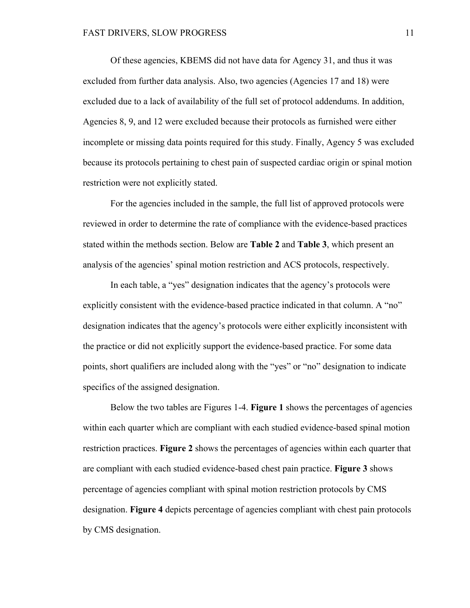Of these agencies, KBEMS did not have data for Agency 31, and thus it was excluded from further data analysis. Also, two agencies (Agencies 17 and 18) were excluded due to a lack of availability of the full set of protocol addendums. In addition, Agencies 8, 9, and 12 were excluded because their protocols as furnished were either incomplete or missing data points required for this study. Finally, Agency 5 was excluded because its protocols pertaining to chest pain of suspected cardiac origin or spinal motion restriction were not explicitly stated.

For the agencies included in the sample, the full list of approved protocols were reviewed in order to determine the rate of compliance with the evidence-based practices stated within the methods section. Below are **Table 2** and **Table 3**, which present an analysis of the agencies' spinal motion restriction and ACS protocols, respectively.

In each table, a "yes" designation indicates that the agency's protocols were explicitly consistent with the evidence-based practice indicated in that column. A "no" designation indicates that the agency's protocols were either explicitly inconsistent with the practice or did not explicitly support the evidence-based practice. For some data points, short qualifiers are included along with the "yes" or "no" designation to indicate specifics of the assigned designation.

Below the two tables are Figures 1-4. **Figure 1** shows the percentages of agencies within each quarter which are compliant with each studied evidence-based spinal motion restriction practices. **Figure 2** shows the percentages of agencies within each quarter that are compliant with each studied evidence-based chest pain practice. **Figure 3** shows percentage of agencies compliant with spinal motion restriction protocols by CMS designation. **Figure 4** depicts percentage of agencies compliant with chest pain protocols by CMS designation.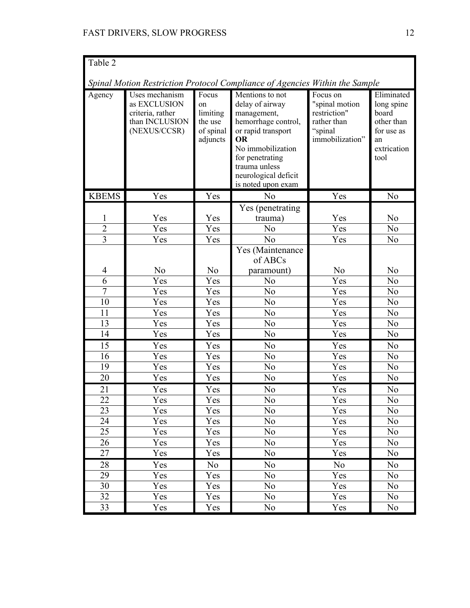| Table 2                                                                     |                                                                                      |                                                             |                                                                                                                                                                                                             |                                                                                         |                                                                                            |
|-----------------------------------------------------------------------------|--------------------------------------------------------------------------------------|-------------------------------------------------------------|-------------------------------------------------------------------------------------------------------------------------------------------------------------------------------------------------------------|-----------------------------------------------------------------------------------------|--------------------------------------------------------------------------------------------|
| Spinal Motion Restriction Protocol Compliance of Agencies Within the Sample |                                                                                      |                                                             |                                                                                                                                                                                                             |                                                                                         |                                                                                            |
| Agency                                                                      | Uses mechanism<br>as EXCLUSION<br>criteria, rather<br>than INCLUSION<br>(NEXUS/CCSR) | Focus<br>on<br>limiting<br>the use<br>of spinal<br>adjuncts | Mentions to not<br>delay of airway<br>management,<br>hemorrhage control,<br>or rapid transport<br>OR<br>No immobilization<br>for penetrating<br>trauma unless<br>neurological deficit<br>is noted upon exam | Focus on<br>"spinal motion<br>restriction"<br>rather than<br>"spinal<br>immobilization" | Eliminated<br>long spine<br>board<br>other than<br>for use as<br>an<br>extrication<br>tool |
| <b>KBEMS</b>                                                                | Yes                                                                                  | Yes                                                         | N <sub>o</sub>                                                                                                                                                                                              | Yes                                                                                     | No                                                                                         |
| $\overline{2}$<br>$\overline{3}$                                            | Yes<br>Yes<br>Yes                                                                    | Yes<br>Yes<br>Yes                                           | Yes (penetrating<br>trauma)<br>No<br>No                                                                                                                                                                     | Yes<br>Yes<br>Yes                                                                       | No<br>No<br>No                                                                             |
| 4                                                                           | No                                                                                   | No                                                          | Yes (Maintenance<br>of ABCs<br>paramount)                                                                                                                                                                   | N <sub>o</sub>                                                                          | No                                                                                         |
| $\overline{6}$                                                              | Yes                                                                                  | Yes                                                         | No                                                                                                                                                                                                          | Yes                                                                                     | No                                                                                         |
| $\overline{7}$                                                              | Yes                                                                                  | Yes                                                         | No                                                                                                                                                                                                          | Yes                                                                                     | No                                                                                         |
| 10                                                                          | Yes                                                                                  | Yes                                                         | No                                                                                                                                                                                                          | Yes                                                                                     | No                                                                                         |
| 11                                                                          | Yes                                                                                  | Yes                                                         | No                                                                                                                                                                                                          | Yes                                                                                     | No                                                                                         |
| 13                                                                          | Yes                                                                                  | Yes                                                         | No                                                                                                                                                                                                          | Yes                                                                                     | No                                                                                         |
| 14                                                                          | Yes                                                                                  | Yes                                                         | No                                                                                                                                                                                                          | Yes                                                                                     | No                                                                                         |
| 15                                                                          | Yes                                                                                  | Yes                                                         | No                                                                                                                                                                                                          | Yes                                                                                     | No                                                                                         |
| 16                                                                          | Yes                                                                                  | Yes                                                         | No                                                                                                                                                                                                          | Yes                                                                                     | No                                                                                         |
| 19<br>20                                                                    | Yes<br>Yes                                                                           | Yes<br>Yes                                                  | No<br>No                                                                                                                                                                                                    | Yes<br>Yes                                                                              | No<br>No                                                                                   |
|                                                                             |                                                                                      |                                                             |                                                                                                                                                                                                             |                                                                                         |                                                                                            |
| 21<br>$\overline{22}$                                                       | Yes<br>Yes                                                                           | Yes<br>Yes                                                  | No<br>No                                                                                                                                                                                                    | Yes<br>Yes                                                                              | No<br>No                                                                                   |
| 23                                                                          | Yes                                                                                  | Yes                                                         | No                                                                                                                                                                                                          | Yes                                                                                     | No                                                                                         |
| 24                                                                          | Yes                                                                                  | Yes                                                         | No                                                                                                                                                                                                          | Yes                                                                                     | No                                                                                         |
| 25                                                                          | Yes                                                                                  | Yes                                                         | No                                                                                                                                                                                                          | Yes                                                                                     | No                                                                                         |
| 26                                                                          | Yes                                                                                  | Yes                                                         | No                                                                                                                                                                                                          | Yes                                                                                     | No                                                                                         |
| 27                                                                          | Yes                                                                                  | Yes                                                         | No                                                                                                                                                                                                          | Yes                                                                                     | No                                                                                         |
| 28                                                                          | Yes                                                                                  | No                                                          | No                                                                                                                                                                                                          | N <sub>o</sub>                                                                          | No                                                                                         |
| 29                                                                          | Yes                                                                                  | Yes                                                         | No                                                                                                                                                                                                          | Yes                                                                                     | N <sub>o</sub>                                                                             |
| 30                                                                          | Yes                                                                                  | Yes                                                         | No                                                                                                                                                                                                          | Yes                                                                                     | No                                                                                         |
| 32                                                                          | Yes                                                                                  | Yes                                                         | No                                                                                                                                                                                                          | Yes                                                                                     | No                                                                                         |
| 33                                                                          | Yes                                                                                  | Yes                                                         | No                                                                                                                                                                                                          | Yes                                                                                     | No                                                                                         |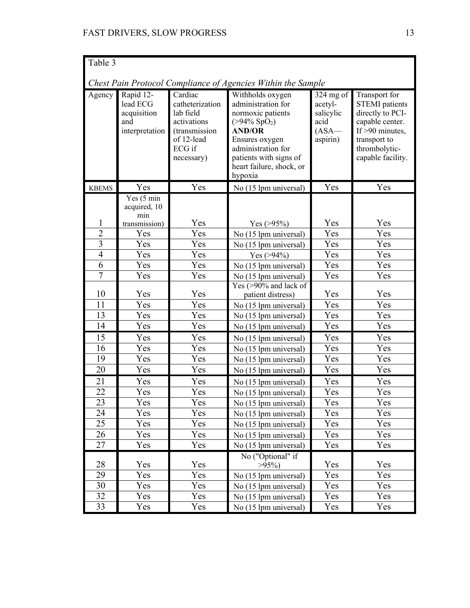| Table 3                                                      |                                                               |                                                                                                               |                                                                                                                                                                                                           |                                                                    |                                                                                                                                                          |
|--------------------------------------------------------------|---------------------------------------------------------------|---------------------------------------------------------------------------------------------------------------|-----------------------------------------------------------------------------------------------------------------------------------------------------------------------------------------------------------|--------------------------------------------------------------------|----------------------------------------------------------------------------------------------------------------------------------------------------------|
| Chest Pain Protocol Compliance of Agencies Within the Sample |                                                               |                                                                                                               |                                                                                                                                                                                                           |                                                                    |                                                                                                                                                          |
| Agency                                                       | Rapid 12-<br>lead ECG<br>acquisition<br>and<br>interpretation | Cardiac<br>catheterization<br>lab field<br>activations<br>(transmission<br>of 12-lead<br>ECG if<br>necessary) | Withholds oxygen<br>administration for<br>normoxic patients<br>$( > 94\% SpO2)$<br><b>AND/OR</b><br>Ensures oxygen<br>administration for<br>patients with signs of<br>heart failure, shock, or<br>hypoxia | $324$ mg of<br>acetyl-<br>salicylic<br>acid<br>$(ASA-$<br>aspirin) | Transport for<br><b>STEMI</b> patients<br>directly to PCI-<br>capable center.<br>If $>90$ minutes,<br>transport to<br>thrombolytic-<br>capable facility. |
| <b>KBEMS</b>                                                 | Yes                                                           | Yes                                                                                                           | No (15 lpm universal)                                                                                                                                                                                     | Yes                                                                | Yes                                                                                                                                                      |
|                                                              | Yes (5 min<br>acquired, 10<br>min                             |                                                                                                               |                                                                                                                                                                                                           |                                                                    |                                                                                                                                                          |
| 1                                                            | transmission)                                                 | Yes                                                                                                           | Yes $(>95%)$                                                                                                                                                                                              | Yes                                                                | Yes                                                                                                                                                      |
| $\overline{c}$                                               | Yes                                                           | Yes                                                                                                           | No (15 lpm universal)                                                                                                                                                                                     | Yes                                                                | Yes                                                                                                                                                      |
| $\overline{3}$                                               | Yes                                                           | Yes                                                                                                           | No (15 lpm universal)                                                                                                                                                                                     | Yes                                                                | Yes                                                                                                                                                      |
| $\overline{4}$                                               | Yes                                                           | Yes                                                                                                           | Yes $(>94%)$                                                                                                                                                                                              | Yes                                                                | Yes                                                                                                                                                      |
| 6<br>$\overline{7}$                                          | Yes                                                           | Yes                                                                                                           | No (15 lpm universal)                                                                                                                                                                                     | Yes                                                                | Yes                                                                                                                                                      |
|                                                              | Yes                                                           | Yes                                                                                                           | No (15 lpm universal)<br>Yes $(>90\%$ and lack of                                                                                                                                                         | Yes                                                                | Yes                                                                                                                                                      |
| 10                                                           | Yes                                                           | Yes                                                                                                           | patient distress)                                                                                                                                                                                         | Yes                                                                | Yes                                                                                                                                                      |
| 11                                                           | Yes                                                           | Yes                                                                                                           | No (15 lpm universal)                                                                                                                                                                                     | Yes                                                                | Yes                                                                                                                                                      |
| 13                                                           | Yes                                                           | Yes                                                                                                           | No (15 lpm universal)                                                                                                                                                                                     | Yes                                                                | Yes                                                                                                                                                      |
| 14                                                           | Yes                                                           | Yes                                                                                                           | No (15 lpm universal)                                                                                                                                                                                     | Yes                                                                | Yes                                                                                                                                                      |
| 15                                                           | Yes                                                           | Yes                                                                                                           | No (15 lpm universal)                                                                                                                                                                                     | Yes                                                                | Yes                                                                                                                                                      |
| 16                                                           | Yes                                                           | Yes                                                                                                           | No (15 lpm universal)                                                                                                                                                                                     | Yes                                                                | Yes                                                                                                                                                      |
| 19                                                           | Yes                                                           | Yes                                                                                                           | No (15 lpm universal)                                                                                                                                                                                     | Yes                                                                | Yes                                                                                                                                                      |
| 20                                                           | Yes                                                           | Yes                                                                                                           | No (15 lpm universal)                                                                                                                                                                                     | Yes                                                                | Yes                                                                                                                                                      |
| 21                                                           | Yes                                                           | Yes                                                                                                           | No (15 lpm universal)                                                                                                                                                                                     | Yes                                                                | Yes                                                                                                                                                      |
| 22                                                           | Yes                                                           | Yes                                                                                                           | No (15 lpm universal)                                                                                                                                                                                     | Yes                                                                | Yes                                                                                                                                                      |
| 23                                                           | Yes                                                           | Yes                                                                                                           | No (15 lpm universal)                                                                                                                                                                                     | Yes                                                                | Yes                                                                                                                                                      |
| 24                                                           | Yes                                                           | Yes                                                                                                           | No (15 lpm universal)                                                                                                                                                                                     | Yes                                                                | Yes                                                                                                                                                      |
| 25                                                           | Yes                                                           | Yes                                                                                                           | No (15 lpm universal)                                                                                                                                                                                     | Yes                                                                | Yes                                                                                                                                                      |
| 26                                                           | Yes                                                           | Yes                                                                                                           | No (15 lpm universal)                                                                                                                                                                                     | Yes                                                                | Yes                                                                                                                                                      |
| 27                                                           | Yes                                                           | Yes                                                                                                           | No (15 lpm universal)                                                                                                                                                                                     | Yes                                                                | Yes                                                                                                                                                      |
| 28                                                           | Yes                                                           | Yes                                                                                                           | No ("Optional" if<br>$>95\%)$                                                                                                                                                                             | Yes                                                                | Yes                                                                                                                                                      |
| 29                                                           | Yes                                                           | Yes                                                                                                           | No (15 lpm universal)                                                                                                                                                                                     | Yes                                                                | Yes                                                                                                                                                      |
| 30                                                           | Yes                                                           | Yes                                                                                                           | No (15 lpm universal)                                                                                                                                                                                     | Yes                                                                | Yes                                                                                                                                                      |
| 32                                                           | Yes                                                           | Yes                                                                                                           | No (15 lpm universal)                                                                                                                                                                                     | Yes                                                                | Yes                                                                                                                                                      |
| 33                                                           | Yes                                                           | Yes                                                                                                           | No (15 lpm universal)                                                                                                                                                                                     | Yes                                                                | Yes                                                                                                                                                      |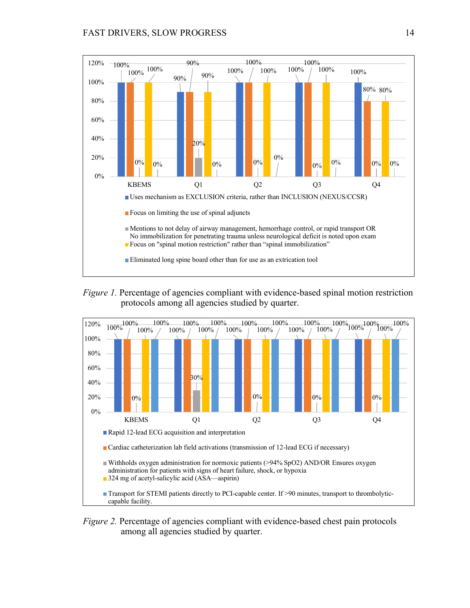





*Figure 2.* Percentage of agencies compliant with evidence-based chest pain protocols among all agencies studied by quarter.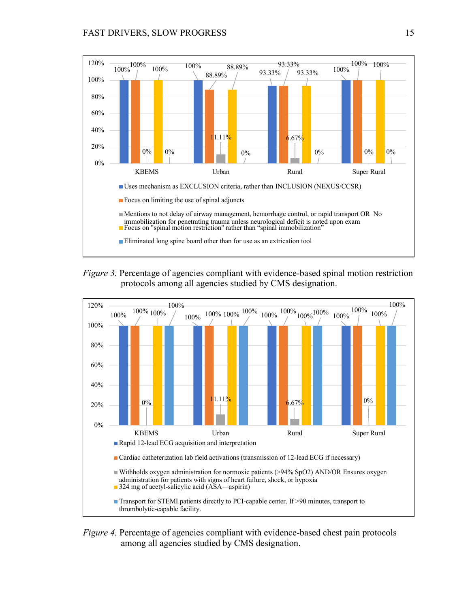

*Figure 3.* Percentage of agencies compliant with evidence-based spinal motion restriction protocols among all agencies studied by CMS designation.



*Figure 4.* Percentage of agencies compliant with evidence-based chest pain protocols among all agencies studied by CMS designation.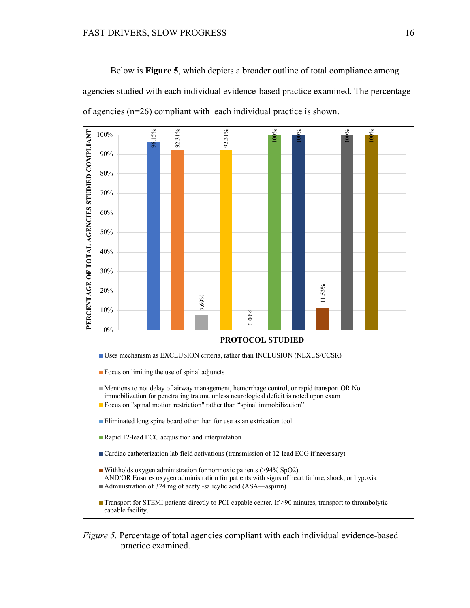Below is **Figure 5**, which depicts a broader outline of total compliance among agencies studied with each individual evidence-based practice examined. The percentage of agencies (n=26) compliant with each individual practice is shown.



*Figure 5.* Percentage of total agencies compliant with each individual evidence-based practice examined.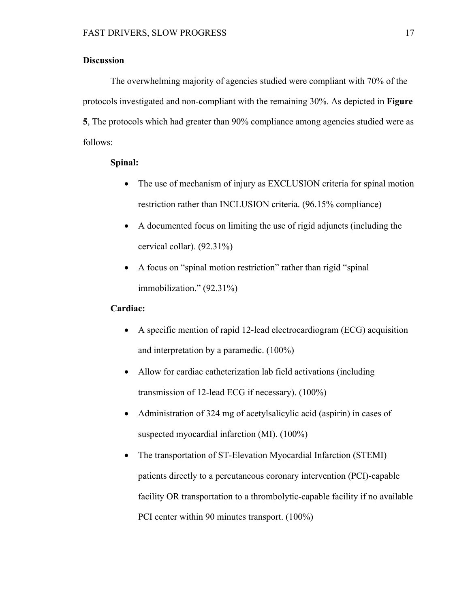# **Discussion**

The overwhelming majority of agencies studied were compliant with 70% of the protocols investigated and non-compliant with the remaining 30%. As depicted in **Figure 5**, The protocols which had greater than 90% compliance among agencies studied were as follows:

# **Spinal:**

- The use of mechanism of injury as EXCLUSION criteria for spinal motion restriction rather than INCLUSION criteria. (96.15% compliance)
- A documented focus on limiting the use of rigid adjuncts (including the cervical collar). (92.31%)
- A focus on "spinal motion restriction" rather than rigid "spinal" immobilization." (92.31%)

# **Cardiac:**

- A specific mention of rapid 12-lead electrocardiogram (ECG) acquisition and interpretation by a paramedic. (100%)
- Allow for cardiac catheterization lab field activations (including transmission of 12-lead ECG if necessary). (100%)
- Administration of 324 mg of acetylsalicylic acid (aspirin) in cases of suspected myocardial infarction (MI). (100%)
- The transportation of ST-Elevation Myocardial Infarction (STEMI) patients directly to a percutaneous coronary intervention (PCI)-capable facility OR transportation to a thrombolytic-capable facility if no available PCI center within 90 minutes transport. (100%)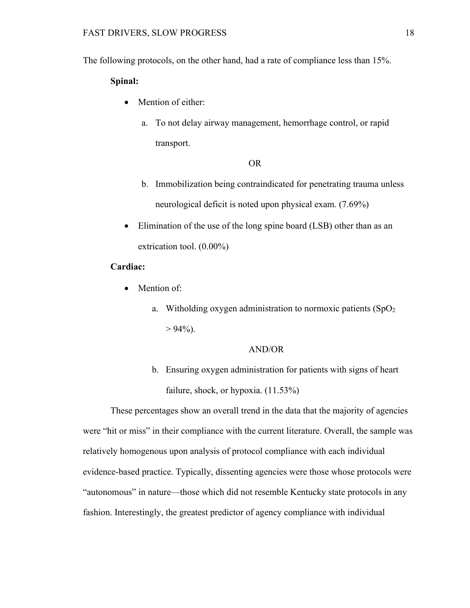The following protocols, on the other hand, had a rate of compliance less than 15%.

# **Spinal:**

- Mention of either:
	- a. To not delay airway management, hemorrhage control, or rapid transport.

#### OR

- b. Immobilization being contraindicated for penetrating trauma unless neurological deficit is noted upon physical exam. (7.69%)
- Elimination of the use of the long spine board (LSB) other than as an extrication tool. (0.00%)

# **Cardiac:**

- Mention of:
	- a. Witholding oxygen administration to normoxic patients  $(SpO<sub>2</sub>)$  $> 94\%$ ).

# AND/OR

b. Ensuring oxygen administration for patients with signs of heart failure, shock, or hypoxia. (11.53%)

These percentages show an overall trend in the data that the majority of agencies were "hit or miss" in their compliance with the current literature. Overall, the sample was relatively homogenous upon analysis of protocol compliance with each individual evidence-based practice. Typically, dissenting agencies were those whose protocols were "autonomous" in nature—those which did not resemble Kentucky state protocols in any fashion. Interestingly, the greatest predictor of agency compliance with individual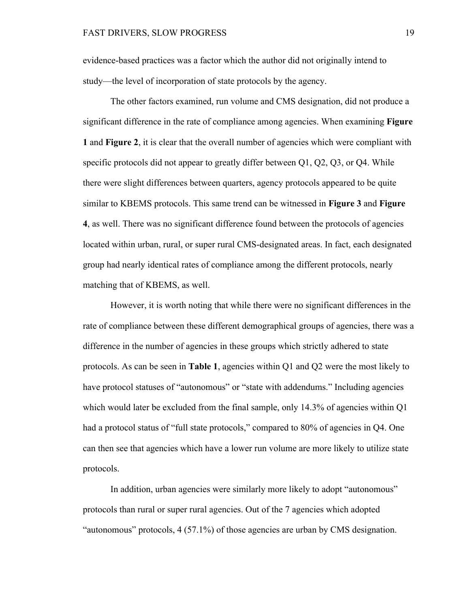evidence-based practices was a factor which the author did not originally intend to study—the level of incorporation of state protocols by the agency.

The other factors examined, run volume and CMS designation, did not produce a significant difference in the rate of compliance among agencies. When examining **Figure 1** and **Figure 2**, it is clear that the overall number of agencies which were compliant with specific protocols did not appear to greatly differ between Q1, Q2, Q3, or Q4. While there were slight differences between quarters, agency protocols appeared to be quite similar to KBEMS protocols. This same trend can be witnessed in **Figure 3** and **Figure 4**, as well. There was no significant difference found between the protocols of agencies located within urban, rural, or super rural CMS-designated areas. In fact, each designated group had nearly identical rates of compliance among the different protocols, nearly matching that of KBEMS, as well.

However, it is worth noting that while there were no significant differences in the rate of compliance between these different demographical groups of agencies, there was a difference in the number of agencies in these groups which strictly adhered to state protocols. As can be seen in **Table 1**, agencies within Q1 and Q2 were the most likely to have protocol statuses of "autonomous" or "state with addendums." Including agencies which would later be excluded from the final sample, only 14.3% of agencies within Q1 had a protocol status of "full state protocols," compared to 80% of agencies in Q4. One can then see that agencies which have a lower run volume are more likely to utilize state protocols.

In addition, urban agencies were similarly more likely to adopt "autonomous" protocols than rural or super rural agencies. Out of the 7 agencies which adopted "autonomous" protocols, 4 (57.1%) of those agencies are urban by CMS designation.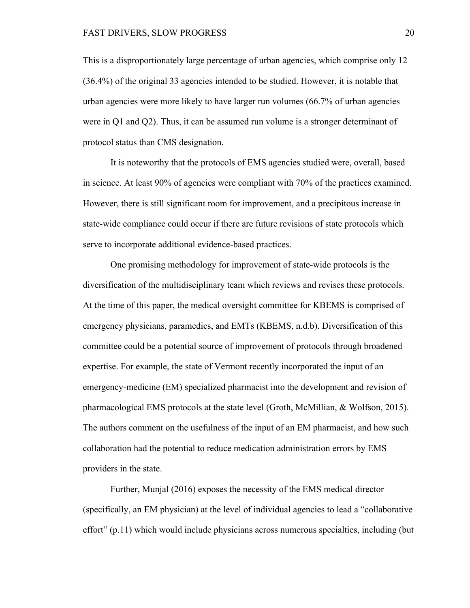This is a disproportionately large percentage of urban agencies, which comprise only 12 (36.4%) of the original 33 agencies intended to be studied. However, it is notable that urban agencies were more likely to have larger run volumes (66.7% of urban agencies were in Q1 and Q2). Thus, it can be assumed run volume is a stronger determinant of protocol status than CMS designation.

It is noteworthy that the protocols of EMS agencies studied were, overall, based in science. At least 90% of agencies were compliant with 70% of the practices examined. However, there is still significant room for improvement, and a precipitous increase in state-wide compliance could occur if there are future revisions of state protocols which serve to incorporate additional evidence-based practices.

One promising methodology for improvement of state-wide protocols is the diversification of the multidisciplinary team which reviews and revises these protocols. At the time of this paper, the medical oversight committee for KBEMS is comprised of emergency physicians, paramedics, and EMTs (KBEMS, n.d.b). Diversification of this committee could be a potential source of improvement of protocols through broadened expertise. For example, the state of Vermont recently incorporated the input of an emergency-medicine (EM) specialized pharmacist into the development and revision of pharmacological EMS protocols at the state level (Groth, McMillian, & Wolfson, 2015). The authors comment on the usefulness of the input of an EM pharmacist, and how such collaboration had the potential to reduce medication administration errors by EMS providers in the state.

Further, Munjal (2016) exposes the necessity of the EMS medical director (specifically, an EM physician) at the level of individual agencies to lead a "collaborative effort" (p.11) which would include physicians across numerous specialties, including (but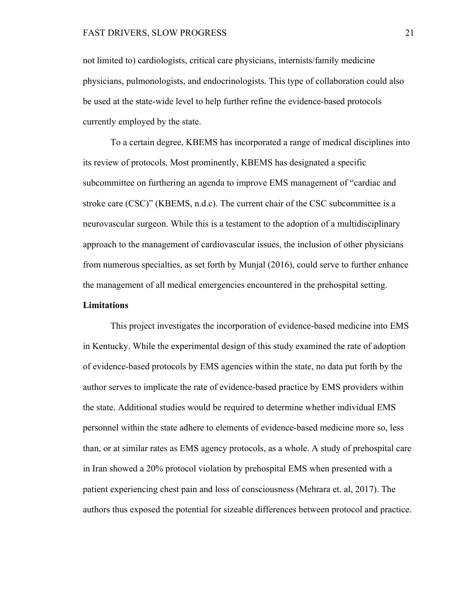not limited to) cardiologists, critical care physicians, internists/family medicine physicians, pulmonologists, and endocrinologists. This type of collaboration could also be used at the state-wide level to help further refine the evidence-based protocols currently employed by the state.

To a certain degree, KBEMS has incorporated a range of medical disciplines into its review of protocols. Most prominently, KBEMS has designated a specific subcommittee on furthering an agenda to improve EMS management of "cardiac and stroke care (CSC)" (KBEMS, n.d.c). The current chair of the CSC subcommittee is a neurovascular surgeon. While this is a testament to the adoption of a multidisciplinary approach to the management of cardiovascular issues, the inclusion of other physicians from numerous specialties, as set forth by Munjal (2016), could serve to further enhance the management of all medical emergencies encountered in the prehospital setting.

# **Limitations**

This project investigates the incorporation of evidence-based medicine into EMS in Kentucky. While the experimental design of this study examined the rate of adoption of evidence-based protocols by EMS agencies within the state, no data put forth by the author serves to implicate the rate of evidence-based practice by EMS providers within the state. Additional studies would be required to determine whether individual EMS personnel within the state adhere to elements of evidence-based medicine more so, less than, or at similar rates as EMS agency protocols, as a whole. A study of prehospital care in Iran showed a 20% protocol violation by prehospital EMS when presented with a patient experiencing chest pain and loss of consciousness (Mehrara et. al, 2017). The authors thus exposed the potential for sizeable differences between protocol and practice.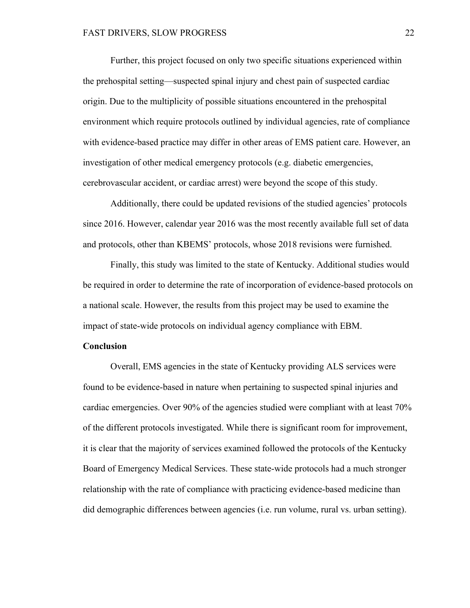Further, this project focused on only two specific situations experienced within the prehospital setting—suspected spinal injury and chest pain of suspected cardiac origin. Due to the multiplicity of possible situations encountered in the prehospital environment which require protocols outlined by individual agencies, rate of compliance with evidence-based practice may differ in other areas of EMS patient care. However, an investigation of other medical emergency protocols (e.g. diabetic emergencies, cerebrovascular accident, or cardiac arrest) were beyond the scope of this study.

Additionally, there could be updated revisions of the studied agencies' protocols since 2016. However, calendar year 2016 was the most recently available full set of data and protocols, other than KBEMS' protocols, whose 2018 revisions were furnished.

Finally, this study was limited to the state of Kentucky. Additional studies would be required in order to determine the rate of incorporation of evidence-based protocols on a national scale. However, the results from this project may be used to examine the impact of state-wide protocols on individual agency compliance with EBM.

## **Conclusion**

Overall, EMS agencies in the state of Kentucky providing ALS services were found to be evidence-based in nature when pertaining to suspected spinal injuries and cardiac emergencies. Over 90% of the agencies studied were compliant with at least 70% of the different protocols investigated. While there is significant room for improvement, it is clear that the majority of services examined followed the protocols of the Kentucky Board of Emergency Medical Services. These state-wide protocols had a much stronger relationship with the rate of compliance with practicing evidence-based medicine than did demographic differences between agencies (i.e. run volume, rural vs. urban setting).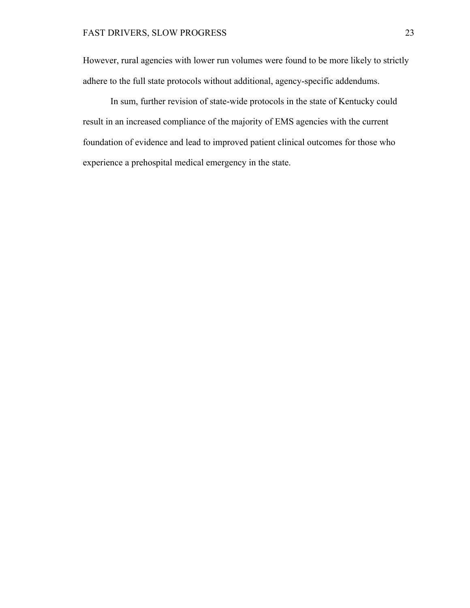However, rural agencies with lower run volumes were found to be more likely to strictly adhere to the full state protocols without additional, agency-specific addendums.

In sum, further revision of state-wide protocols in the state of Kentucky could result in an increased compliance of the majority of EMS agencies with the current foundation of evidence and lead to improved patient clinical outcomes for those who experience a prehospital medical emergency in the state.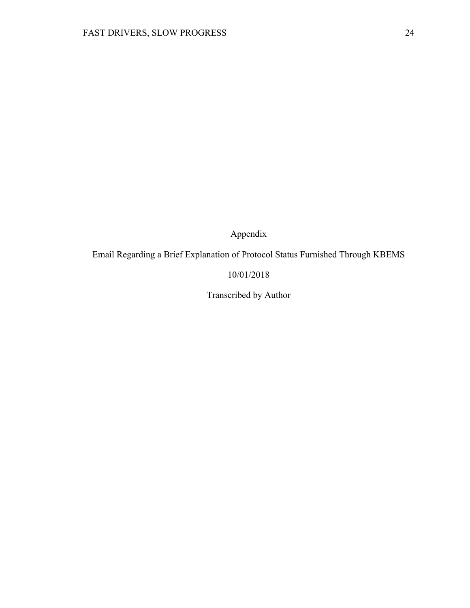Appendix

Email Regarding a Brief Explanation of Protocol Status Furnished Through KBEMS

# 10/01/2018

Transcribed by Author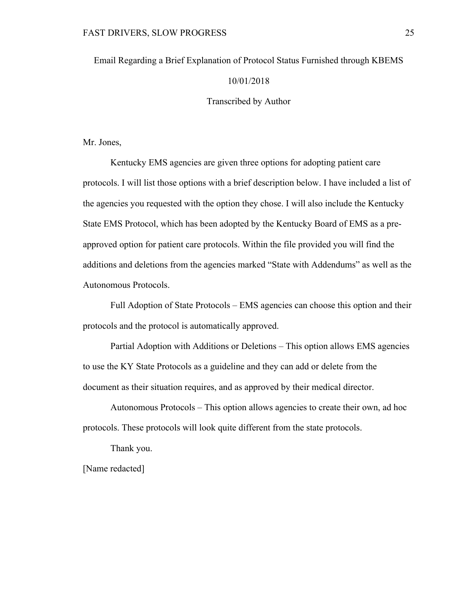# Email Regarding a Brief Explanation of Protocol Status Furnished through KBEMS

## 10/01/2018

# Transcribed by Author

Mr. Jones,

Kentucky EMS agencies are given three options for adopting patient care protocols. I will list those options with a brief description below. I have included a list of the agencies you requested with the option they chose. I will also include the Kentucky State EMS Protocol, which has been adopted by the Kentucky Board of EMS as a preapproved option for patient care protocols. Within the file provided you will find the additions and deletions from the agencies marked "State with Addendums" as well as the Autonomous Protocols.

Full Adoption of State Protocols – EMS agencies can choose this option and their protocols and the protocol is automatically approved.

Partial Adoption with Additions or Deletions – This option allows EMS agencies to use the KY State Protocols as a guideline and they can add or delete from the document as their situation requires, and as approved by their medical director.

Autonomous Protocols – This option allows agencies to create their own, ad hoc protocols. These protocols will look quite different from the state protocols.

Thank you.

[Name redacted]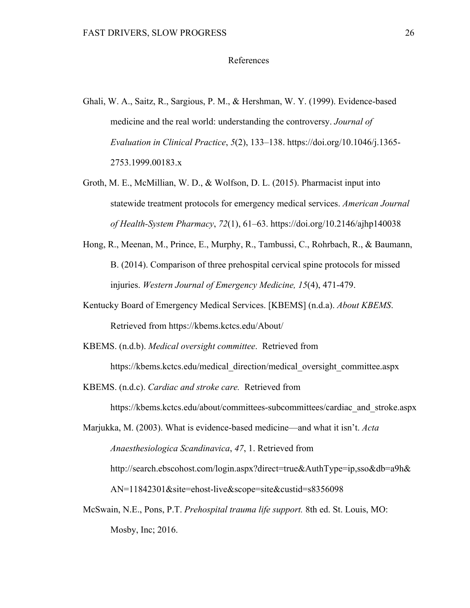#### References

- Ghali, W. A., Saitz, R., Sargious, P. M., & Hershman, W. Y. (1999). Evidence-based medicine and the real world: understanding the controversy. *Journal of Evaluation in Clinical Practice*, *5*(2), 133–138. https://doi.org/10.1046/j.1365- 2753.1999.00183.x
- Groth, M. E., McMillian, W. D., & Wolfson, D. L. (2015). Pharmacist input into statewide treatment protocols for emergency medical services. *American Journal of Health-System Pharmacy*, *72*(1), 61–63. https://doi.org/10.2146/ajhp140038
- Hong, R., Meenan, M., Prince, E., Murphy, R., Tambussi, C., Rohrbach, R., & Baumann, B. (2014). Comparison of three prehospital cervical spine protocols for missed injuries. *Western Journal of Emergency Medicine, 15*(4), 471-479.
- Kentucky Board of Emergency Medical Services. [KBEMS] (n.d.a). *About KBEMS*. Retrieved from https://kbems.kctcs.edu/About/
- KBEMS. (n.d.b). *Medical oversight committee*. Retrieved from

https://kbems.kctcs.edu/medical\_direction/medical\_oversight\_committee.aspx

KBEMS. (n.d.c). *Cardiac and stroke care.* Retrieved from

https://kbems.kctcs.edu/about/committees-subcommittees/cardiac\_and\_stroke.aspx

Marjukka, M. (2003). What is evidence-based medicine—and what it isn't. *Acta Anaesthesiologica Scandinavica*, *47*, 1. Retrieved from http://search.ebscohost.com/login.aspx?direct=true&AuthType=ip,sso&db=a9h& AN=11842301&site=ehost-live&scope=site&custid=s8356098

McSwain, N.E., Pons, P.T. *Prehospital trauma life support.* 8th ed. St. Louis, MO: Mosby, Inc; 2016.